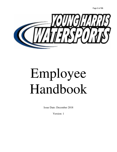Page **1** of **31**



# Employee Handbook

Issue Date: December 2018

Version: 1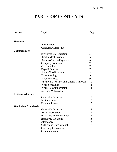# **TABLE OF CONTENTS**

| <b>Section</b>             | <b>Topic</b>                            | Page           |
|----------------------------|-----------------------------------------|----------------|
|                            |                                         |                |
| Welcome                    |                                         |                |
|                            | Introduction                            | 4              |
|                            | Concerns/Comments                       | $\overline{4}$ |
| <b>Compensation</b>        |                                         |                |
|                            | <b>Employee Classifications</b>         | 5              |
|                            | <b>Breaks/Meal Periods</b>              | 6              |
|                            | <b>Business Travel/Expenses</b>         | 6              |
|                            | <b>Company Vehicles</b>                 | 7              |
|                            | <b>Overtime Pay</b>                     | 7              |
|                            | <b>Payroll Process</b>                  | $\overline{7}$ |
|                            | <b>Status Classifications</b>           | 8              |
|                            | Time Keeping                            | 9              |
|                            | <b>Wage Increases</b>                   | 9              |
|                            | Vacation, Sick Pay, and Unpaid Time Off | 10             |
|                            | <b>Work Schedules</b>                   | 11             |
|                            | Worker's Compensation                   | 11             |
|                            | Jury and Witness Duty                   | 12             |
| <b>Leave of Absence</b>    |                                         |                |
|                            | General Information                     | 12             |
|                            | <b>Military Leave</b>                   | 13             |
|                            | <b>Personal Leave</b>                   | 13             |
| <b>Workplace Standards</b> |                                         |                |
|                            | <b>General Information</b>              | 13             |
|                            | <b>ADA</b> Information                  | 14             |
|                            | <b>Employee Personnel Files</b>         | 15             |
|                            | <b>Employee Relations</b>               | 15             |
|                            | Attendance                              | 15             |
|                            | Cell Phone Use/Personal                 | 16             |
|                            | Coaching/Correction                     | 16             |
|                            | Communication                           | 18             |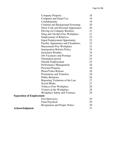|                                 | <b>Company Property</b>                    | 18 |
|---------------------------------|--------------------------------------------|----|
|                                 | <b>Computer and Email Use</b>              | 18 |
|                                 | Confidentiality                            | 19 |
|                                 | Criminal and Background Screening          | 20 |
|                                 | <b>Dress Code and Personal Appearance</b>  | 20 |
|                                 | Driving on Company Business                | 21 |
|                                 | Drug and Alcohol-Free Workplace            | 21 |
|                                 | <b>Employment of Relatives</b>             | 22 |
|                                 | <b>Equal Employment Opportunity</b>        | 22 |
|                                 | <b>Facility Appearance and Cleanliness</b> | 23 |
|                                 | Harassment-Free Workplace                  | 23 |
|                                 | <b>Immigration Reform Policy</b>           | 24 |
|                                 | <b>Inclement Weather</b>                   | 24 |
|                                 | <b>Job Vacancies and Postings</b>          | 24 |
|                                 | Orientation period                         | 25 |
|                                 | <b>Outside Employment</b>                  | 25 |
|                                 | Performance Management                     | 26 |
|                                 | <b>Personal Property</b>                   | 26 |
|                                 | Photo/Video Release                        | 26 |
|                                 | <b>Promotions and Transfers</b>            | 26 |
|                                 | <b>Public Relations</b>                    | 26 |
|                                 | Reporting Violations of the Law            | 27 |
|                                 | Social Media                               | 27 |
|                                 | Tobacco-Free Workplace                     | 28 |
|                                 | Visitors in the Workplace                  | 28 |
|                                 | Workplace Safety and Violence              | 29 |
| <b>Separation of Employment</b> |                                            |    |
|                                 | <b>Exit Interviews</b>                     | 29 |
|                                 | <b>Final Paycheck</b>                      | 29 |
|                                 | <b>Resignation and Proper Notice</b>       | 30 |
| Acknowledgment                  |                                            | 31 |
|                                 |                                            |    |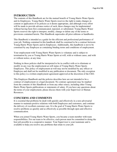# **INTRODUCTION**

The contents of this Handbook are for the mutual benefit of Young Harris Water Sports and its Employees. Young Harris Water Sports reserves the right to make changes in content or application of its policies as it deems appropriate, and although every effort will be made to provide advance notice of such, these changes may be implemented without having been first communicated, reposted, or substituted. Young Harris Water Sports reserves the right to interpret, modify, change or delete any of the terms or provisions contained herein. This Handbook supersedes all prior editions or handbooks.

This Handbook is intended as a guide for the efficient and professional performance of your job. Nothing contained in this handbook shall be construed to be a contract between Young Harris Water Sports and its Employees. Additionally, this handbook is not to be construed by any Employee as containing binding terms and conditions of employment.

Your employment with Young Harris Water Sports is voluntary and is subject to termination by you or Young Harris Water Sports at will, with or without cause, and with or without notice, at any time.

Nothing in these policies shall be interpreted to be in conflict with or to eliminate or modify in any way the employment-at-will status of Young Harris Water Sports Employees. This policy of employment-at-will may not be modified by any officer or Employee and shall not be modified in any publication or document. The only exception to this policy is a written employment agreement approved at the discretion of the CEO.

This Employee Handbook and the policies describes here are not intended to be a contract of employment or a legal document. No contrary agreement may be implied from the contents of this Handbook or from any other source, including other Young Harris Water Sports publications or statements of salary. If you have any questions about the terms of your employment, please discuss them with your Supervisor or Human Resources.

# **CONCERNS AND COMMENTS**

It is essential that problems be dealt with quickly and effectively in a non-adversarial manner to maintain positive relations with both Employees and customers, and continue the delivery of excellent customer care. It is the goal of Young Harris Water Sports to resolve problems as quickly and as effectively as possible through open and effective communication.

When you joined Young Harris Water Sports, you became a team member with team responsibilities. For our team to be effective, each person must be committed to doing the best job possible in a cooperative manner. Your Supervisor is your teammate and is available to help you resolve any problems that relate to your job.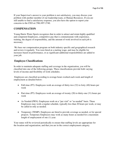If your Supervisor's answer to your problem is not satisfactory, you may discuss your problem with another member of our leadership team, or Human Resources. If you are still unable to find a satisfactory response, you also have the option to report your concerns to the CEO at (706) 897-2740.

# **COMPENSATION**

Young Harris Water Sports recognizes that in order to attract and retain highly qualified and competent Employees, competitive pay that is commensurate with experience, training, the degree of responsibility, and the amount of work involved in each job is necessary.

 We base our compensation program on both industry specific and geographical research and review it regularly. You were hired at a starting wage, and may be eligible for increases based on performance, or as significant additional responsibilities are added to your job.

# **Employee Classifications**

In order to maintain adequate staffing and coverage in the organization, you will be classified into one of the following groups. These classifications provide both varying levels of income and flexibility of work schedules.

 Employees are classified according to average hours worked each week and length of employment as detailed below:

- Full-time (FT): Employees work an average of thirty-two (32) to forty (40) hours per week
- Part-time (PT): Employees work an average of twenty (20) to thirty-one (31) hours per week
- As Needed (PRN): Employees work on a "per visit" or "as needed" basis. These Employees may work a regular schedule, typically less than 20 hours per week, or may be called in only as needed.
- Temporary (TEMP): Employees are hired to provide coverage as needed, or for special projects. Temporary Employees may work as many hours as needed for a maximum length of employment of one (1) year.

Your status will be reviewed periodically to ensure that staffing levels are appropriate for the location and organization, and that you are in the correct employment category.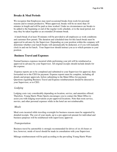# **Breaks & Meal Periods**

We recognize that Employees may need occasional breaks from work for personal reasons and to remain productive. When approved, breaks will be no more than 10 minutes in length and will be paid as time worked. Under no circumstances are breaks to be added to the beginning or end of the regular work schedule, or to the meal period, nor may they be taken together as an extended 20-minute break.

 A lunch break of at least 30 minutes will be provided to all employees as work conditions and customer flow permit. The duration and scheduled time for this lunch break must be approved in advance by the Supervisor. Depending on your position within the company will determine whether your lunch breaks will automatically be deducted, or if you will manually clock in and out for lunch. Your Supervisor should instruct you as to which pertains to your position.

# **Business Travel and Expenses**

Normal business expenses incurred while performing your job will be reimbursed as approved in advance by your Supervisor. All original receipts should include details for the expense.

 Expense reports are to be completed and submitted to your Supervisor for approval, then forwarded on to the CEO for payment. Expense reports must be complete, including all details and proper approvals, before submitting to the Main Office for payment. Questions regarding Business Travel and Expense reimbursement should be directed to your Supervisor, or to CEO.

#### *Lodging*

Lodging costs vary considerably depending on location, service, and amenities offered. Therefore, Young Harris Water Sports encourages you to contact the Main Office to assist you with lodging reservations at pre-approved locations. Note that room service, movies, and other personal expenses while in the hotel are not reimbursable.

#### *Meals*

Meal costs incurred while traveling overnight for business reasons must be supported by detailed receipts. The cost of your meals, up to a pre-approved amount for individual and business purposes will be reimbursed with supervisory approval.

#### *Transportation*

Business travel by automobile is strongly recommended for drives of six (6) hours or less; however, mode of travel should be made in consultation with your Supervisor.

Mileage reimbursement will be paid according to the prevailing Young Harris Water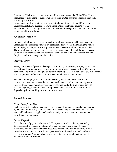Sports rate. All air travel arrangements should be made through the Main Office. You are encouraged to plan ahead to take advantage of time-limited purchase discounts frequently offered by the airlines.

Non-exempt Employees will be paid for required travel time per federal Fair Labor Standards Act (FLSA) guidelines. Travel made after normal work hours to reach a destination with an overnight stay is not compensated. Passengers in a vehicle will not be compensated for travel time.

# **Company Vehicles**

Company vehicles may be issued to specific Employees as approved by management. Employees who are issued vehicles are responsible for properly maintaining the vehicle and notifying your supervisor of any maintenance concerns, malfunctions, or accidents. Those Employees operating company-owned vehicles must hold a valid driver's license. Under no circumstances may any company vehicle be driven by anyone other than the Employee authorized to operate the vehicle.

# **Overtime Pay**

Young Harris Water Sports shall compensate all hourly, non-exempt Employees at a rate of  $1\frac{1}{2}$  times their regular hourly wage for all hours worked in excess of forty (40) hours each week. The work week begins on Tuesday morning (12:01 a.m.) and ends on. All overtime must be approved beforehand. If not the pay rate will be the standard rate.

Monday at midnight (12:00 a.m.). Employees may be asked to work overtime to complete necessary work tasks, but may not work overtime without advance approval from the Supervisor. The Employee's Supervisor will notify the employee as early as possible regarding scheduling needs. Employees must have prior approval from the Supervisor prior to working overtime for any reason.

# **Payroll Process**

#### *Deductions from Pay*

Each pay period, mandatory deductions will be made from your gross salary as required by law, in addition to any voluntary deductions. Mandatory deductions include federal, state and local taxes (as applicable), social security taxes, and state or court-ordered garnishments or tax levies.

#### *Direct Deposit*

Direct Deposit of paychecks is required. Your paycheck will be directly and safely deposited into the financial institution(s) of your choice. If you change financial institutions, you must notify Human Resources immediately. Failure to notify us of a closed or new account may result in a rejection of your direct deposit and a delay in receiving your pay. You may change your direct deposit information at any time by contacting Human Resources.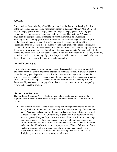# *Pay Day*

Pay periods are biweekly. Payroll will be processed on the Tuesday following the close of the pay period. Our pay period runs from Tuesday at 12:01am-Monday @12:00pm (14 days in the pay period). The first paycheck will be paid the pay period following your employment commencement. Your paycheck funds should be available 2-3 business days from the date processed, depending on your bank (should be Thursdays). Your pay stubs, including year-to-date information, are available to you to view or print on the electronic payroll system (https://my.adp.com). The amount withheld for Federal and State of Georgia income taxes depends on an employee's gross earnings, pretax deductions and the number of exemptions claimed. Note: Due to our 14 day pay period, and determining when your first day of employment is, you may not get a *full* paycheck until the second pay period after your start date (28 days). Example: If you start on the last day of our pay period, you will receive one day of pay for that period, which would be two weeks after start date. HR will supply you with a payroll schedule upon hire.

# *Payroll Corrections*

If you believe there is an error in your paycheck, please carefully review your pay stub and check your time card to ensure the appropriate time was entered. If it was not entered correctly, notify your Supervisor who will submit a request for payment to correct the error on your next paycheck. If the error is in the pay rate, we will also need confirmation from your Supervisor, so please check with him or her first before contacting Human Resources. If you do not receive pay when it is due, please contact us so we can quickly review and correct the problem.

# **Status Classifications**

The Fair Labor Standards Act (FLSA) provides federal guidelines and outlines the requirements for whether positions in our organization are classified as non-exempt or exempt.

• Non-Exempt Positions: Employees holding non-exempt positions are paid on an hourly basis for all hours worked, and are entitled to overtime pay of one and onehalf  $(1 \frac{1}{2})$  times the base rate for all hours worked over forty  $(40)$  in a work week (Sunday through Saturday). Overtime pay is granted only on hours worked and must be approved by your Supervisor in advance. These positions are not exempt from overtime pay. By law, compensatory time off in lieu of overtime pay is strictly prohibited, that is, overtime earned in one week must be paid as overtime and cannot be off-set by offering the employee time off in the following or future weeks. In addition, all overtime pay must be approved in advance by your Supervisor. Failure to seek approval before working overtime may result in disciplinary action, up to and including termination.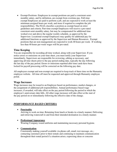• Exempt Positions: Employees in exempt positions are paid a consistent semimonthly salary, and by definition, are exempt from overtime pay. Full-time exempt Employees are paid to perform a job, and are expected to work at least the minimum assigned hours per week, and more if required to complete the job responsibilities. The FLSA classifies a position as exempt based on strict guidelines and criteria. Part-time exempt Employees will receive a pro-rated consistent semi-monthly salary, but may be compensated for additional time worked over and above the regular weekly schedule, as approved by the Supervisor. Locational exempt Employees may qualify for additional pay for additional functions as approved by the Supervisor and Human Resources. Exempt positions that are non-management are expected to work 40 hours per week. If working less than 40 hours per week wages will be pro-rated.

#### **Time Keeping**

You are responsible for recording all time worked, along with your Supervisor. If you notice errors or omissions on your time sheet, you must notify your Supervisor immediately. Supervisors are responsible for reviewing, editing as necessary, and approving all time sheets prior to the pay period ending date, typically the day following the last day of the pay period. Errors or omissions reported after time cards have been locked for payroll processing will be corrected on the following pay date.

All employees exempt and non-exempt are required to keep track of there time on the Humanity employee website. All time off must be requested and approved through Humanity employee portal.

#### **Wage Increases**

Wage increases may be issued to an Employee based on performance, market changes, or the assignment of additional job responsibilities. Annual performance-based wage increases, if awarded, will take effect on the pay period following the period in which the employee's anniversary date falls. All other wage increases will take effect at the start of the pay period on or immediately following the effective date of the change.

# *PERFORMANCE BASED CRITERIA*

• **Punctuality** 

Arriving to work on time; Returning from lunch or breaks in a timely manner; Delivering and retrieving watercraft to and from their intended destination in a timely manner.

#### • **Professional Appearance**

Wearing Company issued uniforms and maintaining necessary personal hygiene.

#### • **Communication**

Consistently making yourself available via phone call, email, text message, etc.; contacting customers prior to their rentals and continuing to maintain communication throughout their rental period if a situation arises; expressing ideas or concerns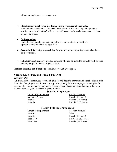with other employees and management.

• **Cleanliness of Work Area (i.e. desk, delivery truck, rental shack, etc.)**  Maintaining a neat and well-organized work station is essential. Depending on your position, your "workstation" will vary, but still needs to always be kept clean and in an organized manner.

#### • **Professionalism**

Using the skill, good judgment, and polite behavior that is expected from a person who is trained to do a job well.

- **Accountability** Taking responsibility for your actions and reporting errors when faults have been made.
- **Reliability** Establishing yourself as some one who can be trusted to come to work on time and do your job to the best of your ability.

#### **Perform Essential Job Functions** –See Employee Job Description

#### **Vacation, Sick Pay, and Unpaid Time Off**

#### *Vacation Pay*

Full-time, salaried employees become eligible for and begin to accrue annual vacation leave after 6 months of employment with the Company. Also, hourly full-time employees are eligible for vacation after two years of employment. Vacations cannot accumulate and do not roll over to the next calendar year. Increases in years follows:

#### **Salaried Employees:**

| Length of Employment | <b>Vacation Accrued</b> |
|----------------------|-------------------------|
| 6 months-2 years     | 1 week (40 Hours)       |
| Year $2-5$           | 2 weeks (80 Hours)      |
| Year $5+$            | $3$ weeks $(120$ Hours) |

#### **Hourly Full-time Employees:**

| Length of Employment | Vacation Accrued                |  |
|----------------------|---------------------------------|--|
| Year $0-2$           | 0 days                          |  |
| Year $2-5$           | 1 week (40 Hours)               |  |
| Year $5-10$          | $1\frac{1}{2}$ weeks (60 Hours) |  |
| Year $10+$           | 2 weeks (80 Hours)              |  |
|                      |                                 |  |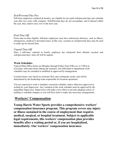#### *Sick/Personal Day Pay*

Full-time employees (salaried & hourly), are eligible for two paid sick/personal days per calendar year after two years with company. Sick/Personal days do not accumulate, and if unused within the year, they cannot carry over to the next year.

#### *Paid Time Off*

From time-to-time eligible, full-time employees may have unforeseen absences, such as illness, emergencies, medical or personal issues; in this case, vacation or sick/personal days may be used to make up for missed time.

#### *Unpaid Time Off*

Once a full-time, salaried or hourly employee has exhausted their allotted vacation and sick/personal days, time off will be unpaid.

#### **Work Schedules**

Typical Main Office hours are Monday through Friday from 9:00 a.m. to 5:00 p.m. (everyday with same hours during the summer), but individual or department work schedules may be extended or modified as approved by management.

Location hours vary based on customer flow and community needs, and will be determined by the leadership team responsible for location operations.

You are expected to work a standard, consistent schedule, unless otherwise approved in writing by your Supervisor. Any variation in the work schedule must be approved by the immediate Supervisor. Supervisors will make every effort to provide adequate notice of staffing or schedule changes so you will have time to make any necessary arrangements.

# **Workers' Compensation**

**Young Harris Water Sports provides a comprehensive workers' compensation insurance program. This program covers any injury or illness sustained in the course of employment that requires medical, surgical, or hospital treatment. Subject to applicable legal requirements, this workers' compensation plan provides benefits after a waiting period or, if you are hospitalized, immediately. Our workers' compensation insurance**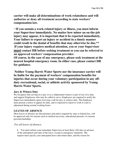**carrier will make all determinations of work-relatedness and will authorize or deny all treatment according to state workers' compensation law.** 

\*\***If you sustain a work-related injury or illness, you must inform your Supervisor immediately. No matter how minor an on-the-job injury may appear, it is important that it be reported immediately. Your failure to report an injury or accident in a timely manner could result in the denial of benefits that may otherwise be due.\*\* If your injury requires medical attention, you or your Supervisor must contact HR before seeking treatment so you can be referred to an approved workers' compensation provider.** 

**Of course, in the case of any emergency, please seek treatment at the nearest hospital emergency room. In either case, please contact HR for guidance.** 

 **Neither Young Harris Water Sports nor the insurance carrier will be liable for the payment of workers' compensation benefits for injuries that occur during your voluntary participation in any offduty recreational, social, or athletic activity sponsored by Young Harris Water Sports.** 

# **Jury & Witness Duty**

We recognize that serving on a jury or as a subpoenaed witness is part of our civic duty and support Employees who may be called to serve. Employees are required to notify the Supervisor immediately upon receiving a call for jury or witness duty. The Employee must present a notice to appear for duty, and is expected to report to work if court is adjourned during normal working hours.

# **LEAVES OF ABSENCE**

Most leaves of absence are discretionary and unless required by state or federal law, will be approved only for reasons such as medical necessity, educational pursuits, or extreme personal hardships.

# *For all leaves of absence:*

• You must inform your immediate Supervisor at least thirty (30) days in advance of the anticipated start date of the leave, except in emergency situations. The request must specify your anticipated leave and return dates, and the reason for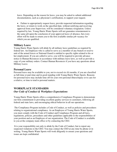leave. Depending on the reason for leave, you may be asked to submit additional documentation, such as a physician's certification, to support your request.

• Failure to appropriately request leave, provide requested information regarding the leave, or return to work on the specified date, without notifying and receiving approval from your Supervisor, will be considered voluntary resignation. Unless required by law, Young Harris Water Sports will not guarantee reinstatement to the same job upon the conclusion of your approved leave of absence, but every effort will be made to return you to the first available similar job vacancy for which you are qualified.

#### **Military Leave**

Young Harris Water Sports will abide by all military leave guidelines as required by federal law. An Employee who is called to serve as a member of any branch or reserve unit of the armed forces or National Guard is entitled to specific rights related to his or her employment. If you are called to serve, you will be required to provide advance notice to Human Resources in accordance with military leave laws, as well as provide a copy of your military orders. Contact Human Resources if you have any questions about Military Leave.

#### **Personal Leave**

Personal leave may be available to you, not to exceed six (6) months, if you are classified as full-time or part-time and in good standing with Young Harris Water Sports. Reasons for personal leave may include time off for your own personal illness/injury or to care for a relative, or time to tend to personal matters.

# **WORKPLACE STANDARDS**  *Our Code of Conduct & Workplace Expectations*

Young Harris Water Sports offers a comprehensive Compliance Program to demonstrate our firm commitment to providing excellent quality services to customers, following all federal and state laws, and encouraging ethical behavior in all our operations.

 The Compliance Program includes a Code of Conduct, as well as policies and procedures relating to organizational compliance. As an Employee of Young Harris Water Sports, you must comply with the Code of Conduct and Compliance Program and all laws, regulations, policies, procedures and other guidelines applicable to the responsibilities of your position and as an Employee of our organization. The Code of Conduct is available to you at the company main office or by contacting the CEO.

 It is your responsibility not only to abide by the Code of Conduct, but to report any suspected violations to the CEO. You may contact the CEO at any time by phone or in writing. Young Harris Water Sports will work diligently to ensure your questions and issues are kept confidential.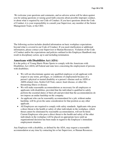We welcome your questions and comments, and no adverse action will be taken against you for asking questions or raising good-faith concerns about possible improper conduct, or about what is required by our Code of Conduct. If you have questions about the Code of Conduct, it is your responsibility to consult your Supervisor, any member of the Senior Management Team, or the CEO.

The following section includes detailed information on basic workplace expectations beyond what is covered in our Code of Conduct. If you need clarification or additional information, please contact your Supervisor or Human Resources. Violation of the Code of Conduct and/or the expectations and policies outlined in this Employee Handbook may result in disciplinary action, up to and including termination.

# **Americans with Disabilities Act (ADA)**

It is the policy of Young Harris Water Sports to comply with the Americans with Disabilities Act (ADA) all Federal and state laws concerning the employment of persons with disabilities.

- We will not discriminate against any qualified employee or job applicant with respect to any terms, privileges, or conditions of employment because of a person's physical or mental disability or a person's disease such as AIDS or AIDS-related virus, Sickle-Cell Trait, cancer, heart disease, or other lifethreatening illness or disease.
- We will make reasonable accommodations as necessary for all employees or applicants with disabilities, provided that the individual is qualified to safely perform the essential duties of their job and provided that the accommodations do not impose an undue hardship on the company.
- An applicant who can be reasonably accommodated for a job, without undue hardship, will be given the same consideration for that position as any other applicant.
- All Employees are required to comply with safety standards. Applicants who pose a direct threat to the health or safety of other individuals in the workplace, which threat cannot be eliminated by reasonable accommodation, will not be hired. Current Employees who pose a direct threat to the health and safety of the other individuals in the workplace will be placed on appropriate leave until an organizational decision has been made in regard to the Employee's immediate employment situation.

Any Employee with a disability, as defined by the ADA, may request a reasonable accommodation at any time by contacting his or her Supervisor, or Human Resources.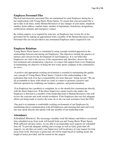#### **Employee Personnel Files**

Physical and electronic personnel files are maintained for each Employee during his or her employment with Young Harris Water Sports. To ensure that your personnel file is up-to-date at all times, notify Human Resources of any changes in your name, telephone number, home address, marital status, number of dependents, beneficiary designations, certifications attained, and emergency contact.

By written request, or as required by state law, an Employee may review his or her personnel file by making an appointment with a member of the Human Resources team. Personnel files are not provided to any terminated Employee unless required by law.

#### **Employee Relations**

Young Harris Water Sports is committed to using a people-oriented approach in the relationships between and among our Employees. Our objectives include the practice of fairness and concern for the development of each Employee. It is our belief that Employees are vital to the success of the organization and, therefore, deserve the very best treatment and consideration. Likewise, we expect full support from every Employee in maintaining our objective of being the best water sports company in the communities we serve.

 A positive and appropriate working environment is essential to maintaining the quality care concept of Young Harris Water Sports. Central to this understanding is the realization that each of us has a responsibility for more than just "doing our job." We are all accountable to those with whom we come in contact to promote a positive and efficient operation by exhibiting our kindness, patience, and professionalism.

 If an Employee has a problem or complaint, he or she should first communicate directly with the direct Supervisor. If the direct Supervisor cannot resolve the matter, the Employee is directed to a member of the leadership team or Human Resources who will review the concerns and work toward resolution. If the Employee does not feel adequate efforts are being made to resolve the issue, he or she can seek assistance from the CEO.

 Our goal is to maintain a comfortable working environment of our Employees by maintaining direct communication with all Employees and ensuring that each and every one may speak directly and openly with any member of our leadership team.

#### **Attendance**

*Scheduled Absences:* We encourage a healthy work-life balance and believe occasional time scheduled away from work will benefit both you and Young Harris Water Sports. With sufficient advance notice, we are able to accommodate most requests for scheduled time off. To provide adequate staffing and coverage as well as fairly grant time off requests, we ask that you notify your Supervisor well in advance of your request for time away from work. Decisions to grant time off will be made based on staffing needs, the length of notice provided, and the reason for the request.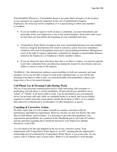*Unscheduled Absences:* Unscheduled absences are particularly disruptive in the location as our customers are negatively impacted. In the case of administrative/support Employees, the work may not be completed, or it is passed along to other team members to complete.

- If you are unable to report to work on time as scheduled, you must immediately and personally notify your Supervisor or his or her named designee. Such notice must occur no later than one hour before the beginning of your scheduled start time.
- Young Harris Water Sports recognizes that some unscheduled absences are unavoidable; however, frequent absenteeism will result in corrective action. Excessive attendance violations will result in disciplinary action up to and including termination. Management reserves the right to request a physician's statement for frequent or questionable absences related to the Employee's or Employee's family member's illness.
- If you are absent for more than three days due to an illness or injury, you may be required to provide a statement from your physician stating the reason for your absence and your ability to return to work at full capacity.

*Tardiness:* Like absenteeism, tardiness causes hardship on both our customers and team members. If you are not able to report to work at the scheduled time, or you will be late returning from lunch or other events, you must personally and immediately contact your Supervisor or his or her named designee.

# **Cell Phone Use & Personal Calls During Work**

The use of any personal communication device while interacting with customers or performing your job duties is strictly prohibited. All personal devices should be set on "silent" or "vibrate" at all times while at work. You are permitted to use your personal device for personal calls only while on scheduled breaks or at lunch, and you are further required to conduct personal conversations outside the location or office, or in a manner that cannot be overheard and is not disruptive to other Employees or guests.

# **Coaching & Corrective Action**

We fully expect that you will conduct yourself in a manner consistent with our performance and behavior expectations. However, because we may not all have the same idea of what defines 'good conduct', it is necessary to provide some guidelines. Our expectations and guidelines are contained in this Handbook and in our Code of Conduct, and any questions regarding these should be directed to your Supervisor, Human Resources, or the CEO.

 It is our intent to be fair and impartial in the use of any corrective action. Your employment with Young Harris Water Sports is 'at will', meaning that the employment relationship may be terminated by Young Harris Water Sports or you at any time, for any reason, with or without cause or prior notice. While it is our intention to work through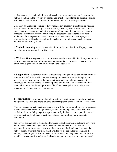performance and behavior challenges with each and every employee, we do reserve the right, depending on the severity, frequency and intent of the offense, to discipline and/or terminate an Employee for violation of our written and expressed expectations.

Generally, an Employee believed to have violated any company expectation or standard will be subject to the following corrective action; however, serious infractions with a clear intent for misconduct, including violation of our Code of Conduct, may result in immediate termination without completing the progressive action steps listed here. Violations of our expectations need not be for the same reason for the Employee to progress to the next level of discipline. Typical actions for addressing performance or conduct violations may include:

1. **Verbal Coaching** – concerns or violations are discussed with the Employee and expectations are reviewed by the Supervisor

2. **Written Warning** – concerns or violations are documented in detail, expectations are reviewed, and consequences for continued non-compliance are stated on a corrective action form signed by both the Employee and the Supervisor.

3. **Suspension** – suspension with or without pay pending an investigation may result for more serious infractions which require thorough review before determining the most appropriate course of action. If the investigation reveals no violation occurred, the Employee will be paid for the suspension period and the notice of suspension will be removed from the Employee's personnel file. If the investigation substantiates the violation, the Employee may be terminated.

4. **Termination** – termination of employment may result with or without prior action being taken, based on the intent, severity and/or frequency of the violation(s) in question.

 The progressive corrective actions listed above will be our preferred process for ensuring our stated expectations are met; however, conduct of any type that causes us to lose confidence in your ability to perform your assigned job, damages our reputation, or puts our organization, Employees or customers at risk, may result in your immediate termination.

 Employees are required to sign all performance-related documents, including corrective action plans, in acknowledgement of the action that has occurred. An Employee's signature does not imply agreement with the action, and the Employee does have the right to submit a written statement which will follow the action for the length of the Employee's employment. Failure to sign the form in acknowledgement will result in an unpaid suspension until which time the Employee agrees to sign, up to a maximum of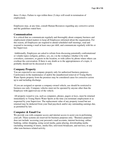three (3) days. Failure to sign within three (3) days will result in termination of employment.

Employees may, at any time, consult Human Resources regarding any corrective action and the guidelines stated here.

#### **Communication**

It is critical that we communicate regularly and thoroughly about company business and employment related matters to keep all Employees informed about the organization. For this reason, all Employees are required to attend scheduled staff meetings, read and respond to incoming e-mail at least once per shift, and communicate regularly with his or her Supervisor.

 Additionally, Employees are asked to refrain from discussing potentially confrontational or volatile topics (religion, politics, sex, etc.) in the workplace whether it be with coworkers, customers, or guests in the location, or with callers by phone where others can overhear the conversation. If there is any doubt as to the appropriateness of a topic, it probably should not be discussed at work.

# **Company Property**

You are expected to use company property only for authorized business purposes. Carelessness in the maintenance of and/or the unauthorized removal of Young Harris Water Sports property from the premises may be considered cause for corrective action up to and including discharge.

 If you are assigned or operate a company-owned vehicle, use should be restricted to business use only. Company vehicles must not be operated by anyone other than the Employee with approved use of the vehicle.

 All property issued to you, such as computers, phones, pagers or keys, must be returned immediately to Young Harris Water Sports at the time you terminate employment or as requested by your Supervisor. The replacement value of any property issued but not returned may be deducted from your final paycheck and/or any outstanding earnings due, as permitted by law.

# **Computer & Email Use**

We provide you with computer access and internet access to assist you in performing your job. These systems are reserved for business purposes only. "Business purposes" does not include: accessing your personal e-mail accounts, internet browsing, online banking, online shopping, using social media, game playing, downloading media (including streaming of music, media files, television broadcasts, and movies), or any other non-business related activity.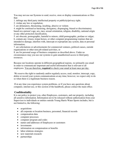You may not use our Systems to send, receive, store or display communications or files that:

1. infringe any third party intellectual property or publicity/privacy right;

2. violate any law or regulation;

3. are defamatory, threatening, insulting, abusive or violent;

4. might be construed as harassing, derogatory, disparaging, biased or discriminatory based on a person's age, sex, race, sexual orientation, religion, disability, national origin or any other protected classification,

5. are obscene, pornographic, harmful to minors, child pornographic, profane or vulgar; 6. contain any viruses, trojan horses, or other computer programming routines that are intended to damage, interfere with, intercept or expropriate any system, data or personal information;

7. are solicitations or advertisements for commercial ventures, political causes, outside organizations or other non-job related activities, or

8. are for personal usage of business computers as described above. Under no circumstances may you use our systems to gain unauthorized access to third party resources.

Because our locations operate in different geographical regions, we primarily use email in order to communicate important and useful information that is relevant to all employees. You are therefore, **required** to check your email at least once per day.

 We reserve the right to randomly and/or regularly access, read, monitor, intercept, copy, delete or record your system communications at any time; however, we expect only to do so when there is a legitimate business reason.

 If at any time you experience system problems, or if you have any questions about computer, internet use, or this section of the handbook, please contact the main office.

# **Confidentiality**

It is our policy to protect you, other Employees, customers, and our property, including all sensitive information. Information not to be released without authorization from your Supervisor to individuals or entities outside Young Harris Water Sports includes, but is not limited to, the following:

- acquisitions
- all corporate or location business, personnel, financial records
- compensation data
- computer processes
- computer program and codes
- names and addresses of Employees or customers
- investments
- information on compensation or benefits
- labor relations strategies
- new materials research
- partnerships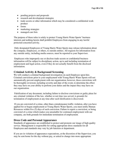- pending projects and proposals
- research and development strategies
- trade secrets or other information which may be considered a confidential work product
- forms
- marketing strategies
- managed care lists

The purpose of these rules is solely to protect Young Harris Water Sports' business interests and nothing herein shall prohibit Employees from engaging in any lawful protected concerted activity.

 Only designated Employees of Young Harris Water Sports may release information about the company, Employees, or others, to outside entities. All requests for information from any outside entity, including media sources, must be reported to your Supervisor.

 Employees who improperly use or disclose trade secrets or confidential business information will be subject to disciplinary action, up to and including termination of employment and legal action, even if they do not actually benefit from the disclosed information.

# **Criminal Activity & Background Screening**

We will conduct a criminal background investigation on each Employee upon hire. Criminal convictions prior to your employment with Young Harris Water Sports will not automatically prevent employment with our organization; however, these convictions will be thoroughly reviewed, including severity and date of the event, to determine the effect they may have on your ability to perform your duties and the impact they may have on our organization.

 Falsification of any document, including failure to disclose convictions or guilty pleas for any criminal violation of the law, whether or not time was served, is grounds for termination of employment at any time after such falsification is discovered.

 If you are convicted of a crime, other than a misdemeanor traffic violation, after you have applied for or begun employment at Young Harris Water Sports, you must notify Human Resources within five (5) days of such conviction. Failure to report a conviction, or being convicted of a crime which makes you unsuitable for continued employment with our company, are both grounds for immediate termination of employment.

# **Dress Code and Personal Appearance**

Standards of appearance are established to protect and promote our image of high quality service. Management is responsible for setting appropriate dress standards for all Employees and standards may vary by job function or department.

If you are in violation of appearance expectations, at the discretion of the Supervisor, you may be sent home for the day without pay, or asked to change into more appropriate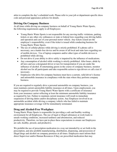attire to complete the day's scheduled work. Please refer to your job or department-specific dress code and personal appearance policies for details.

#### **Driving On Company Business**

At all times while driving on company business on behalf of Young Harris Water Sports, the following requirements apply to all Employees:

- Young Harris Water Sports is not responsible for any moving traffic violations, parking tickets or any other city ordinances or state or federal laws regarding your driving habits and operation and care of your personal motor vehicle. Any tickets issued are the employee's responsibility, even if the ticket is issued while conducting business for Young Harris Water Sports.
- The use of cellular phones while driving is strictly prohibited. If a phone call is necessary, use a hands-free device and be aware of all local and state laws regarding use of mobile devices. Use of laptop computers and/or other types of mobile devices is prohibited while driving.
- Do not drive if your ability to drive safely is impaired by the influence of medications.
- Any consumption of alcohol while working is strictly prohibited. After hours, abide by all laws and use a designated driver or taxi for transportation if you are under the influence of alcohol. If entertaining guests in the course of company business, monitor alcohol use for all participants and take responsible action to sign drivers or call a taxi if necessary.
- Employees who drive for company business must have a current, valid driver's license and automobile insurance in compliance with the state where they perform company business.

If you are required to regularly drive a personal automobile on company business, you must maintain current automobile liability insurance at all times. Upon employment, you may be required to provide Young Harris Water Sports with a certificate of insurance from your insurance carrier reflecting at least the minimum automobile liability insurance as required by law. Failure to maintain current insurance will result in immediate suspension of driving duties and/or disciplinary action. Any Employee involved in an automobile accident while driving a company vehicle who has failed to maintain appropriate insurance coverage will be immediately terminated.

# **Drug and Alcohol-Free Workplace**

Young Harris Water Sports is responsible for providing a safe and healthy working environment for all Employees. The use of legal or illegal substances at work leads to unsafe working conditions, increased tardiness and absenteeism, and reduced productivity. Therefore, we have put in place these expectations to ensure our Employees are safe, healthy, present, and productive.

We prohibit the use of prescription medication in a way not intended by or set forth in the prescription, and also prohibit manufacturing, distribution, dispensing, and possession of illegal drugs and alcohol on company premises at all times. Employees must inform their direct Supervisor and/or Human Resources if they are prescribed medication that may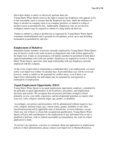affect their ability to safely or effectively perform their job.

Young Harris Water Sports reserves the right to require any Employee who appears to be, or has reasonable cause to assume that the Employee has been, under the influence of drugs or alcohol on company time or on company premises, to submit to a drug or alcohol screen as permitted by law. Additionally, Employees who are involved in workplace injuries may be required to submit to a drug and/or alcohol test.

 Failure to submit to a drug or alcohol test as requested by Young Harris Water Sports constitutes insubordination and is grounds for disciplinary action, up to and including termination as permitted by state law.

#### **Employment of Relatives**

Immediate family members of persons currently employed by Young Harris Water Sports may be hired to work in the same location or department only with written approval by the Supervisor. Under no circumstances will family members be permitted to hold direct superior/subordinate roles with one another. Employees are required to reveal to Young Harris Water Sports, upon hire, their legal relationship with any Employee currently employed with the company.

 In the event a legal relative relationship is established after your employment, you must notify your Supervisor within 10 calendar days. Each individual case will be reviewed; however, where a conflict or the potential for conflict arises, even if there is no Supervisory relationship, the individuals may be separated by reassignment or termination of employment.

# **Equal Employment Opportunity (EEO**)

Young Harris Water Sports is an equal employment opportunity employer, committed to the principle of equal opportunities in all its policies, procedures, and employment decisions and actions. We recognize that our present and future strength is based primarily on you, your skills, experience, and developmental potential, no matter what your race, color, religion, national origin, age, gender, or disability.

 Accordingly, our policies and procedures will be administered without regard to race, color, religion, national origin, age, veteran status, gender, disability or any other classification protected by applicable state or federal law, or local ordinance, except where any one of these is a bona fide occupational qualification. Young Harris Water Sports will give full consideration to the employment of any individual if he or she is qualified to perform, with or without reasonable accommodation, the work for which application is made.

 If you have any questions, concerns or comments about our application or employment policies or their administration, please contact your Supervisor or Human Resources.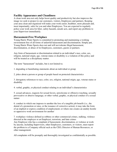#### **Facility Appearance and Cleanliness**

A clean work area not only helps boost quality and productivity but also improves the image we seek to project to our customers, visitors, Employees and partners. Keeping your area clean and organized will make your work easier, healthier, more pleasant and, most importantly, safer for you and other Employees. You are expected to regularly police your work area for litter, safety hazards, unsafe acts, and report any problems to your Supervisor immediately.

# **Harassment-Free Workplace**

Young Harris Water Sports is committed to promoting and maintaining a working environment free of all forms of unlawful harassment and discrimination. Simply put, Young Harris Water Sports does not and will not tolerate illegal harassment, discrimination, or abuse of its Employees, customers, guests or partners.

Any form of harassment or discrimination related to an individual's race, color, sex, religion, national origin, age, veteran status or disability is a violation of this policy and will be treated as a disciplinary matter.

The term "harassment" includes, but is not limited to;

1. degrading or humiliating statements about an individual or group

2. jokes about a person or group of people based on protected characteristics

3. derogatory references to race, color, sex, religion, national origin, age, veteran status or disability

4. verbal, graphic, or physical conduct relating to an individual's characteristics

5. sexual advances, requests for sexual favors, unwelcome or offensive touching, sexually provocative or abusive language, or other verbal, graphic, or physical conduct of a sexual nature

6. conduct in which one imposes to another the loss of a tangible job benefit (i.e., the denial of a promotion or raise, or the issuance of corrective action); it may take the form of an implied or express condition of employment; or where one creates an unduly hostile or oppressive work environment for another

7. workplace violence defined as robbery or other commercial crimes, stalking, violence directed at the employer or an Employee, terrorism, and hate crimes Any Employee who has a complaint of harassment, discrimination, or violence at work by anyone, including Supervisors, other Employees, customers, or visitors, must report the problem to a Company official such as the CEO, Director of Human Resources, or other management.

All complaints will be promptly and thoroughly investigated as confidentially as possible.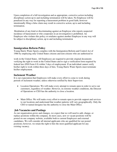Upon completion of a full investigation and as appropriate, corrective action including disciplinary action up to and including termination will be taken. No Employee will be penalized in any way for reporting a harassment problem in good faith, however intentionally filing a false claim may result in corrective action, up to and including termination.

 Retaliation of any kind or discriminating against an Employee who reports suspected incidence of harassment or who cooperates in an investigation is prohibited. An Employee who violates this policy or retaliates against another Employee in any way will be subject to disciplinary action, up to and including termination

#### **Immigration Reform Policy**

Young Harris Water Sports complies with the Immigration Reform and Control Act of 1986 by employing only United States citizens and non-citizens who are authorized to

work in the United States. All Employees are required to provide original documents verifying the right to work in the United States and to sign a verification form required by federal law (INS Form I-9) within 3 days of employment. If an individual cannot verify his/her right to work within three days of hire, Young Harris Water Sports must terminate his/her employment.

#### **Inclement Weather**

It is our expectation that Employees will make every effort to come to work during periods of inclement weather, unless otherwise notified by their Supervisor.

- Location Operations: We will make every attempt to remain open in order to serve our customers, regardless of weather. However, in extreme weather conditions, the Director of Operations or CEO has the authority to close a location.
- Main Office: We will make every effort to remain open to provide support and services to our locations and understand that weather patterns will vary geographically. Only the CEO or named designee has the authority to close the Main Office.

#### **Job Vacancies and Postings**

As our organization grows and changes, we expect that we will need to add, change, or replace positions within the company. In most cases, new or vacant positions will be posted on our company website, available both to current Employees and external candidates. We will consider all internal applicants who are qualified for our posted positions; however, we retain the right to hire the most qualified applicant for any existing vacancy.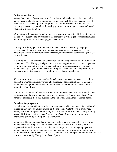#### **Orientation Period**

Young Harris Water Sports recognizes that a thorough introduction to the organization, as well as an explanation of job requirements and responsibilities are essential parts of orientation. Our leadership team will provide you with this orientation and you are encouraged to actively participate by asking questions to further your understanding of your role as a team member.

 Orientation will consist of formal training sessions for organizational information about the history, structure, and procedures of the company, as well as job specific information and training for your new or changing responsibilities.

If at any time during your employment you have questions concerning the proper performance of your responsibilities, or any company policy or procedure, you are encouraged to seek advice from your Supervisor, any member of Senior Management, or Human Resources.

 New Employees will complete an Orientation Period during the first ninety (90) days of employment. This 90-day period provides you with an opportunity to become acquainted with the organization, the job, and to demonstrate competence regarding your work duties. It also gives your Young Harris Water Sports leadership team an opportunity to evaluate your performance and potential for success in our organization.

When your performance or work-related conduct does not meet company expectations during the orientation period, we will take appropriate action including coaching and communication, possible extension of the 90-day Orientation Period, and/or possible separation of employment.

 Successful completion of the Orientation Period in no way alters the at-will employment relationship you have with Young Harris Water Sports, and Young Harris Water Sports continues to reserve the rights outlined in the Handbook Disclaimer contained herein.

#### **Outside Employment**

Outside employment with other water sports companies which may present a conflict of interest or may have an adverse impact on Young Harris Water Sports is prohibited. Young Harris Water Sports prohibits any full-time Employee from concurrently holding a second full-time position outside Young Harris Water Sports, unless prior written approval is granted by the Employee's Supervisor.

You may hold a job with another organization as long as your availability for work for Young Harris Water Sports is not affected, and you satisfactorily perform your job responsibilities with us. Unless you hold another job prior to becoming employed with Young Harris Water Sports, you must seek and receive prior written authorization from the Supervisor to work a second job. The second job can not compete with or be similar to the business conducted by Young Harris Water Sports.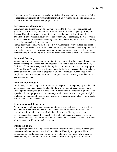If we determine that your outside job is interfering with your performance or your ability to meet the requirements of your employment with us, you may be asked to terminate the outside employment to remain employed with us.

#### **Performance Management**

Supervisors and Employees are strongly encouraged to discuss job performance and goals on an informal, day-to-day basis from the time of hire and frequently throughout the year. Formal performance evaluations are typically conducted semi-annually to provide both Supervisors and Employees the opportunity to thoroughly discuss job tasks, identify and correct weaknesses, encourage and recognize strengths, and discuss positive, purposeful approaches for meeting goals.

Formal performance reviews include a self-review, manager review and for leadership positions, a peer review. The performance review is typically conducted during the month prior to the Employee's anniversary date. Additional requirements are also due at this time including the following for all location-based Employees: current CPR certification.

# **Personal Property**

Young Harris Water Sports assumes no liability whatsoever for the damage, loss or theft caused by third parties to the personal property of its Employees. All locations, storage facilities, offices and workspaces, including desks, cabinets and lockers, are the property of Young Harris Water Sports and Young Harris Water Sports reserves the right to have access to these areas and to such property at any time, without advance notice to any Employee. Therefore, Employees should not expect that such property would be treated as private or personal.

# **Photo/Video Release**

Employees grant to Young Harris Water Sports the permission to photograph, video and audio record them in any capacity related to the working operations of Young Harris Water Sports. Employees grant Young Harris Water Sports the perpetual right to use and reproduce, for any purpose and without compensation to them, any photographs, digital or electronic images, audio recordings, movies, or videos, for use of advertising, website use, brochures, signs, posters, etc.

# **Promotions and Transfers**

Any qualified Employee who expresses an interest in a posted vacant position will be considered for that position. Qualifications considered in the selection process for promotion will include, but are not limited to education, skills, experience, past performance, attendance, ability to perform the job, and behavior consistent with our missions and values. Transfer requests will be considered as vacancies become available, with the same considerations as listed above.

# **Public Relations**

Public perceptions of our company are extremely important to its success in serving the customers and communities in which Young Harris Water Sports operates. These perceptions can easily become distorted by well-intending Employees who choose to speak publicly for or about Young Harris Water Sports without proper authorization.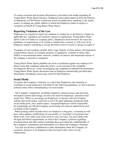To assure consistent and accurate information is provided to the media regarding all Young Harris Water Sports business, Employees must obtain approval from the Director of Operations or CEO before writing any article for publication, speaking to any media source, or making any public address in which the Employee claims to express a viewpoint on behalf of Young Harris Water Sports.

#### **Reporting Violations of the Law**

Employees are required to report any situation or conduct he or she believes violates an applicable law, regulation, government contract or requirement, Young Harris Water Sports Code of Conduct or company policy. Employees need not know the exact law, regulation, or requirement, or be certain a violation has occurred, or will occur. If an Employee suspects something is wrong, the better course of action is always to report it.

 Examples of such incidents include: theft; wage, benefit, or hours abuses; discrimination or harassment; misuse of company property or equipment; violation of safety rules; OSHA or environmental abuse concerns; conflicts of interest; and intentional misuse of the company's network or computers.

Young Harris Water Sports prohibits any form of retaliation against any employee for filing a bona fide complaint under this policy, or for assisting in the complaint investigation. However, if after investigating any complaint of unlawful discrimination Young Harris Water Sports determines that an Employee intentionally provided false information, disciplinary action may result for that Employee.

#### **Social Media**

To protect the Company's interests, we expect that Employees who maintain or contribute to social media sites will abide by the following guidelines, as well as practice common sense when communicating via social media:

. The Company's equipment, including computers, internet access, and electronic and digital systems and storage, are not to be used for Employees' personal social media sites. While we encourage our Employees to interact with our Company website and social media, work time is not to be spent updating creating personal social media posts, sites, and/or spaces. Assigned Employees will be responsible for maintaining our official Company social media sites and are authorized to post on behalf of the Company.

. When posting (which includes but is not limited to a blog post, a comment or wall post, status updates, modification of your profile, or "tweeting") on personal sites about work, even while away from work on your own time, you must abide with all legal and ethical requirements, as well as the Company's policies regarding non-harassment and other matters including those governing the confidentiality of the Company's information and information of or about the Company's business.

. You may not disclose confidential or other information about the Company, its customers, business or its Employees that you learn in the course of your employment.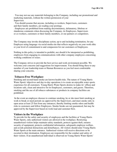. You may not use any materials belonging to the Company, including our promotional and marketing materials, without the written permission of your Supervisor.

. You should assume that anyone, including co-workers, Supervisors, customers and their family members, are reading your postings.

. Employees are prohibited from making discriminatory, defamatory, libelous or slanderous comments when discussing the Company, its Employees, Supervisors or co-workers, customers or their family members, or our partners or competitors.

The Company may invoke disciplinary action, up to and including termination, for any Employee using language via social media site that reflects negatively on your work ethic or your level of commitment to and compassion for our customers or Employees.

Nothing in this policy is intended to prohibit, nor should it be interpreted as prohibiting, employees from engaging in communications with other company employees concerning working conditions or issues.

The Company strives to provide the best service and work environment possible. We welcome your concerns and suggestions for improvement. You should bring these to any member of your leadership team or Human Resources as you feel most comfortable sharing your concerns.

# **Tobacco-Free Workplace**

Smoking and second-hand smoke are known health risks. The nature of Young Harris Water Sports' objectives and day-to-day operations is to create an enjoyable water sports experience for all customers. Young Harris Water Sports desires to make its' offices and locations safe, clean and attractive for its Employees, customers, and guests. Therefore, smoking and the use of all tobacco substances or products in company facilities are prohibited.

 In the event an employee chooses to continue smoking, he or she must limit smoking at work to break or meal periods (as approved by the Supervisor), and must smoke only in open areas at least 25 feet from any entrances, thereby limiting smoke odors and health risks to customers and fellow Employees. Smoke breaks are not guaranteed, but may be approved by the Supervisor based on work load and customer flow.

#### **Visitors in the Workplace**

To provide for the safety and security of employees and the facilities at Young Harris Water Sports, only authorized visitors are allowed in the workplace. Restricting unauthorized visitors helps maintain safety standards, protects against theft, ensures security of equipment, protects confidential information, safeguards employee welfare, and avoids potential distractions and disturbances. All visitors should enter Young Harris Water Sports at the main entrance. Authorized visitors will receive directions or be escorted to their destination. Employees are responsible for the conduct and safety of their visitors. If an unauthorized individual is observed on Young Harris Water Sports'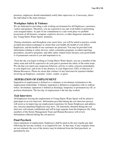premises, employees should immediately notify their supervisor or, if necessary, direct the individual to the main entrance.

#### **Workplace Safety & Violence**

We are dedicated to providing a safe working environment for all Employees, customers, visitors and partners. Therefore, you are expected to use safe work habits in performing your assigned duties. As part of our commitment to a safe work place we prohibit possession of all firearms, weapons, explosive devices, or other dangerous materials on any Young Harris Water Sports' premises.

 During orientation, and throughout your career here, you will be asked to practice certain accident prevention techniques to ensure that your health, the health of your fellow Employees, and the health of our customers are protected. You may be provided with information relating to safety devices, safety committee programs, accident reporting procedures, incentive programs, and other safety related issues because your good health is of paramount concern to you and important to us.

 From the day you begin working at Young Harris Water Sports, you are a member of the safety team and will be expected to do your part to promote the safety of the entire team. We ask that you report any suspicious behavior, activity or safety concerns immediately to your Supervisor, and in his or her absence, to your Supervisor, CEO, or Director of Human Resources. Please be aware that violence of any kind must be reported whether involving an Employee, customer, visitor, vendor, or guest.

# **SEPERATION OF EMPLOYMENT**

Separation of employment is defined as a voluntary or involuntary termination to the employment relationship. Voluntary separation is defined as resignation with or without notice. Involuntary separation is defined as discharge, temporary or permanent lay off, or position elimination. The last day of employment is the last day worked.

#### **Exit Interviews**

All Employees leaving the employment of Young Harris Water Sports will be asked to participate in an exit interview. Information provided during the exit interview process will assist us in improving our employment experience for future Employees and address any concerns departing Employees may have. All statements obtained during the exit interview will remain confidential and will be kept separate from the Employee file. Only members of the Senior Management Team and Human Resources will review information collected during the exit process.

#### **Final Paycheck**

Upon separation of employment, Employees shall be paid on the next regular pay date following the last day worked, or as required by law. At that time, if any company items are not returned, the cost of the item(s) may be deducted from the final paycheck, as permitted by law.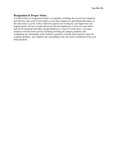# **Resignation & Proper Notice**

A written notice of resignation (email is acceptable), including the reason for resignation and effective date must be forwarded to your direct Supervisor and Human Resources at the time notice is given. Unless otherwise agreed to in writing by your Supervisor, the required notice for non-exempt and non-locational Employees is a two (2) week notice and for all locational and other exempt Employees, a four (4) week notice. You must properly work the notice period, including returning all company property and completing any outstanding work. Failure to properly work the notice period, return all company property, and complete any outstanding work will result in deduction from your final paycheck.